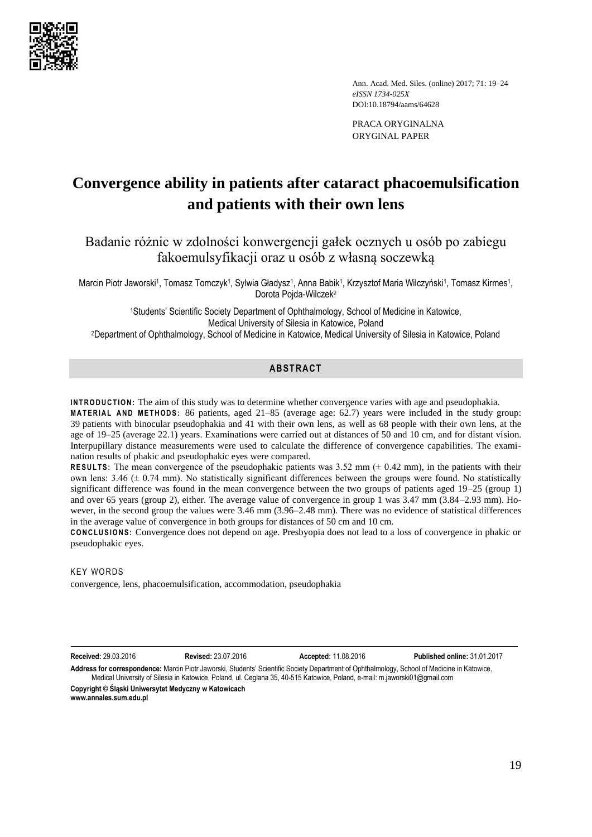

Ann. Acad. Med. Siles. (online) 2017; 71: 19–24 *eISSN 1734-025X*  DOI:10.18794/aams/64628

PRACA ORYGINALNA ORYGINAL PAPER

# **Convergence ability in patients after cataract phacoemulsification and patients with their own lens**

Badanie różnic w zdolności konwergencji gałek ocznych u osób po zabiegu fakoemulsyfikacji oraz u osób z własną soczewką

Marcin Piotr Jaworski1, Tomasz Tomczyk1, Sylwia Gładysz1, Anna Babik1, Krzysztof Maria Wilczyński1, Tomasz Kirmes1, Dorota Pojda-Wilczek<sup>2</sup>

<sup>1</sup>Students' Scientific Society Department of Ophthalmology, School of Medicine in Katowice, Medical University of Silesia in Katowice, Poland <sup>2</sup>Department of Ophthalmology, School of Medicine in Katowice, Medical University of Silesia in Katowice, Poland

# **ABSTRACT**

**INTRODUCTION:** The aim of this study was to determine whether convergence varies with age and pseudophakia. **MATERIAL AND METHODS:** 86 patients, aged 21–85 (average age: 62.7) years were included in the study group: 39 patients with binocular pseudophakia and 41 with their own lens, as well as 68 people with their own lens, at the age of 19–25 (average 22.1) years. Examinations were carried out at distances of 50 and 10 cm, and for distant vision. Interpupillary distance measurements were used to calculate the difference of convergence capabilities. The examination results of phakic and pseudophakic eyes were compared.

**RESULTS:** The mean convergence of the pseudophakic patients was  $3.52$  mm ( $\pm$  0.42 mm), in the patients with their own lens:  $3.46 \pm 0.74$  mm). No statistically significant differences between the groups were found. No statistically significant difference was found in the mean convergence between the two groups of patients aged 19–25 (group 1) and over 65 years (group 2), either. The average value of convergence in group 1 was 3.47 mm (3.84–2.93 mm). However, in the second group the values were 3.46 mm (3.96–2.48 mm). There was no evidence of statistical differences in the average value of convergence in both groups for distances of 50 cm and 10 cm.

**CONCLUSIONS:** Convergence does not depend on age. Presbyopia does not lead to a loss of convergence in phakic or pseudophakic eyes.

**KEY WORDS** 

convergence, lens, phacoemulsification, accommodation, pseudophakia

**Received:** 29.03.2016 **Revised:** 23.07.2016 **Accepted:** 11.08.2016 **Published online:** 31.01.2017

**Address for correspondence:** Marcin Piotr Jaworski, Students' Scientific Society Department of Ophthalmology, School of Medicine in Katowice, Medical University of Silesia in Katowice, Poland, ul. Ceglana 35, 40-515 Katowice, Poland, e-mail: m.jaworski01@gmail.com

**Copyright © Śląski Uniwersytet Medyczny w Katowicach www.annales.sum.edu.pl**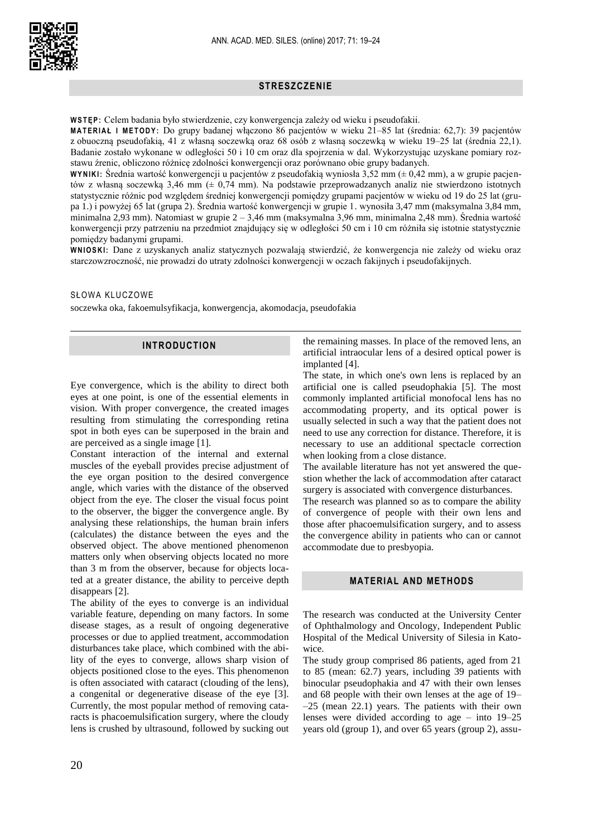

# **STRESZCZENIE**

W STEP: Celem badania było stwierdzenie, czy konwergencja zależy od wieku i pseudofakii.

**M A T E R I A Ł I M E T O D Y :** Do grupy badanej włączono 86 pacjentów w wieku 21–85 lat (średnia: 62,7): 39 pacjentów z obuoczną pseudofakią, 41 z własną soczewką oraz 68 osób z własną soczewką w wieku 19–25 lat (średnia 22,1). Badanie zostało wykonane w odległości 50 i 10 cm oraz dla spojrzenia w dal. Wykorzystując uzyskane pomiary rozstawu źrenic, obliczono różnicę zdolności konwergencji oraz porównano obie grupy badanych.

**W Y N I K I :** Średnia wartość konwergencji u pacjentów z pseudofakią wyniosła 3,52 mm (± 0,42 mm), a w grupie pacjentów z własną soczewką 3,46 mm (± 0,74 mm). Na podstawie przeprowadzanych analiz nie stwierdzono istotnych statystycznie różnic pod względem średniej konwergencji pomiędzy grupami pacjentów w wieku od 19 do 25 lat (grupa 1.) i powyżej 65 lat (grupa 2). Średnia wartość konwergencji w grupie 1. wynosiła 3,47 mm (maksymalna 3,84 mm, minimalna 2,93 mm). Natomiast w grupie 2 – 3,46 mm (maksymalna 3,96 mm, minimalna 2,48 mm). Średnia wartość konwergencji przy patrzeniu na przedmiot znajdujący się w odległości 50 cm i 10 cm różniła się istotnie statystycznie pomiędzy badanymi grupami.

**W N I O S K I :** Dane z uzyskanych analiz statycznych pozwalają stwierdzić, że konwergencja nie zależy od wieku oraz starczowzroczność, nie prowadzi do utraty zdolności konwergencji w oczach fakijnych i pseudofakijnych.

### SŁOWA KLUCZOWE

soczewka oka, fakoemulsyfikacja, konwergencja, akomodacja, pseudofakia

### **INTRODUCTION**

Eye convergence, which is the ability to direct both eyes at one point, is one of the essential elements in vision. With proper convergence, the created images resulting from stimulating the corresponding retina spot in both eyes can be superposed in the brain and are perceived as a single image [1].

Constant interaction of the internal and external muscles of the eyeball provides precise adjustment of the eye organ position to the desired convergence angle, which varies with the distance of the observed object from the eye. The closer the visual focus point to the observer, the bigger the convergence angle. By analysing these relationships, the human brain infers (calculates) the distance between the eyes and the observed object. The above mentioned phenomenon matters only when observing objects located no more than 3 m from the observer, because for objects located at a greater distance, the ability to perceive depth disappears [2].

The ability of the eyes to converge is an individual variable feature, depending on many factors. In some disease stages, as a result of ongoing degenerative processes or due to applied treatment, accommodation disturbances take place, which combined with the ability of the eyes to converge, allows sharp vision of objects positioned close to the eyes. This phenomenon is often associated with cataract (clouding of the lens), a congenital or degenerative disease of the eye [3]. Currently, the most popular method of removing cataracts is phacoemulsification surgery, where the cloudy lens is crushed by ultrasound, followed by sucking out

the remaining masses. In place of the removed lens, an artificial intraocular lens of a desired optical power is implanted [4].

The state, in which one's own lens is replaced by an artificial one is called pseudophakia [5]. The most commonly implanted artificial monofocal lens has no accommodating property, and its optical power is usually selected in such a way that the patient does not need to use any correction for distance. Therefore, it is necessary to use an additional spectacle correction when looking from a close distance.

The available literature has not yet answered the question whether the lack of accommodation after cataract surgery is associated with convergence disturbances.

The research was planned so as to compare the ability of convergence of people with their own lens and those after phacoemulsification surgery, and to assess the convergence ability in patients who can or cannot accommodate due to presbyopia.

# **MATERIAL AND METHODS**

The research was conducted at the University Center of Ophthalmology and Oncology, Independent Public Hospital of the Medical University of Silesia in Katowice.

The study group comprised 86 patients, aged from 21 to 85 (mean: 62.7) years, including 39 patients with binocular pseudophakia and 47 with their own lenses and 68 people with their own lenses at the age of 19–  $-25$  (mean 22.1) years. The patients with their own lenses were divided according to age – into 19–25 years old (group 1), and over 65 years (group 2), assu-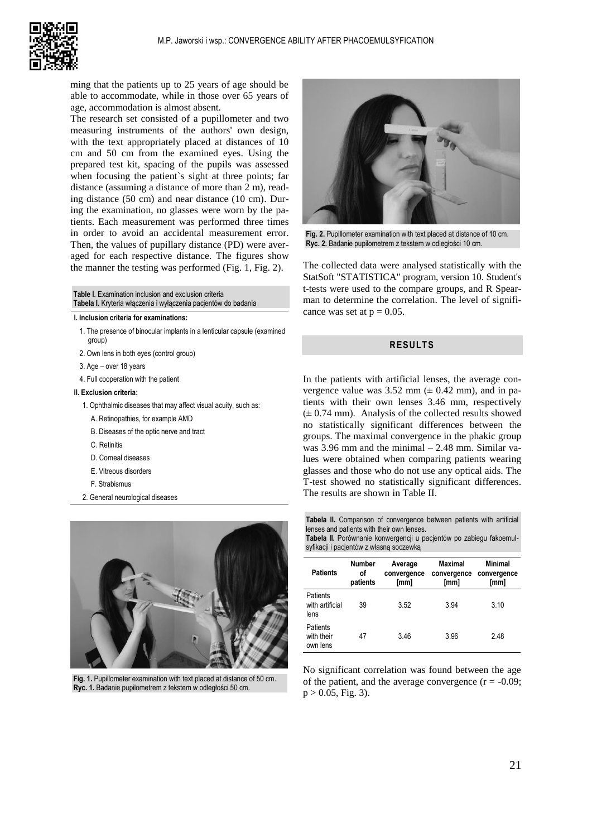

ming that the patients up to 25 years of age should be able to accommodate, while in those over 65 years of age, accommodation is almost absent.

The research set consisted of a pupillometer and two measuring instruments of the authors' own design, with the text appropriately placed at distances of 10 cm and 50 cm from the examined eyes. Using the prepared test kit, spacing of the pupils was assessed when focusing the patient`s sight at three points; far distance (assuming a distance of more than 2 m), reading distance (50 cm) and near distance (10 cm). During the examination, no glasses were worn by the patients. Each measurement was performed three times in order to avoid an accidental measurement error. Then, the values of pupillary distance (PD) were averaged for each respective distance. The figures show the manner the testing was performed (Fig. 1, Fig. 2).

### **Table I.** Examination inclusion and exclusion criteria **Tabela I.** Kryteria włączenia i wyłączenia pacjentów do badania

#### **I. Inclusion criteria for examinations:**

- 1. The presence of binocular implants in a lenticular capsule (examined group)
- 2. Own lens in both eyes (control group)
- 3. Age over 18 years
- 4. Full cooperation with the patient

### **II. Exclusion criteria:**

- 1. Ophthalmic diseases that may affect visual acuity, such as:
- A. Retinopathies, for example AMD
- B. Diseases of the optic nerve and tract
- C. Retinitis
- D. Corneal diseases
- E. Vitreous disorders
- F. Strabismus
- 2. General neurological diseases



**Fig. 1.** Pupillometer examination with text placed at distance of 50 cm. **Ryc. 1.** Badanie pupilometrem z tekstem w odległości 50 cm.



**Fig. 2.** Pupillometer examination with text placed at distance of 10 cm. **Ryc. 2.** Badanie pupilometrem z tekstem w odległości 10 cm.

The collected data were analysed statistically with the StatSoft "STATISTICA" program, version 10. Student's t-tests were used to the compare groups, and R Spearman to determine the correlation. The level of significance was set at  $p = 0.05$ .

# **RESULTS**

In the patients with artificial lenses, the average convergence value was  $3.52$  mm ( $\pm$  0.42 mm), and in patients with their own lenses 3.46 mm, respectively  $(\pm 0.74 \text{ mm})$ . Analysis of the collected results showed no statistically significant differences between the groups. The maximal convergence in the phakic group was 3.96 mm and the minimal – 2.48 mm. Similar values were obtained when comparing patients wearing glasses and those who do not use any optical aids. The T-test showed no statistically significant differences. The results are shown in Table II.

**Tabela II.** Comparison of convergence between patients with artificial lenses and patients with their own lenses.

**Tabela II.** Porównanie konwergencji u pacjentów po zabiegu fakoemulsyfikacji i pacjentów z własną soczewką

| <b>Patients</b>                     | <b>Number</b><br>٥f<br>patients | Average<br>convergence<br>[mm] | Maximal<br>convergence<br>[mm] | Minimal<br>convergence<br>[mm] |
|-------------------------------------|---------------------------------|--------------------------------|--------------------------------|--------------------------------|
| Patients<br>with artificial<br>lens | 39                              | 3.52                           | 3.94                           | 3.10                           |
| Patients<br>with their<br>own lens  | 47                              | 3.46                           | 3.96                           | 2.48                           |

No significant correlation was found between the age of the patient, and the average convergence  $(r = -0.09)$ ;  $p > 0.05$ , Fig. 3).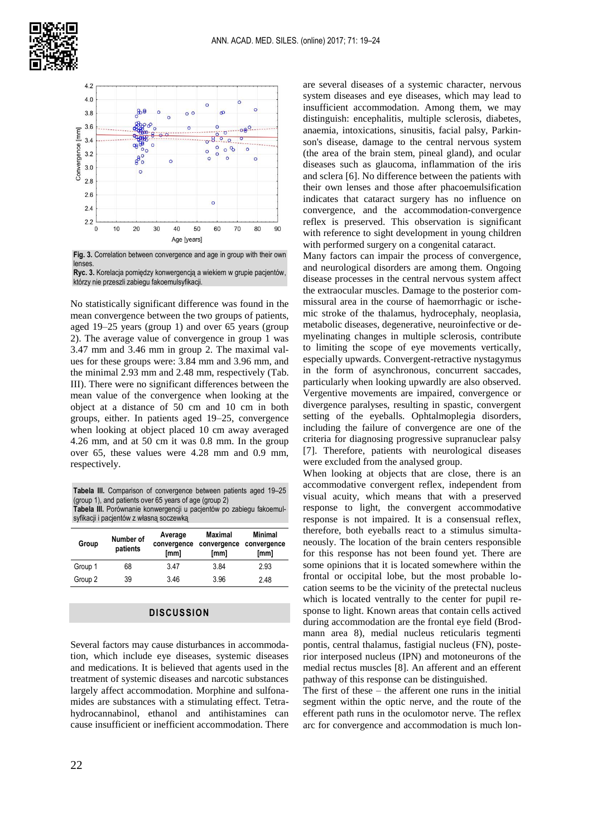



lenses. **Ryc. 3.** Korelacja pomiędzy konwergencją a wiekiem w grupie pacjentów,

którzy nie przeszli zabiegu fakoemulsyfikacji.

No statistically significant difference was found in the mean convergence between the two groups of patients, aged 19–25 years (group 1) and over 65 years (group 2). The average value of convergence in group 1 was 3.47 mm and 3.46 mm in group 2. The maximal values for these groups were: 3.84 mm and 3.96 mm, and the minimal 2.93 mm and 2.48 mm, respectively (Tab. III). There were no significant differences between the mean value of the convergence when looking at the object at a distance of 50 cm and 10 cm in both groups, either. In patients aged 19–25, convergence when looking at object placed 10 cm away averaged 4.26 mm, and at 50 cm it was 0.8 mm. In the group over 65, these values were 4.28 mm and 0.9 mm, respectively.

**Tabela III.** Comparison of convergence between patients aged 19–25 (group 1), and patients over 65 years of age (group 2) **Tabela III.** Porównanie konwergencji u pacjentów po zabiegu fakoemulsyfikacji i pacjentów z własną soczewką

| Group   | Number of<br>patients | Average<br>convergence<br>[mm] | <b>Maximal</b><br>convergence<br>[mm] | Minimal<br>convergence<br>[mm] |
|---------|-----------------------|--------------------------------|---------------------------------------|--------------------------------|
| Group 1 | 68                    | 3.47                           | 3.84                                  | 2.93                           |
| Group 2 | 39                    | 346                            | 3.96                                  | 248                            |

## **DISCUSSION**

Several factors may cause disturbances in accommodation, which include eye diseases, systemic diseases and medications. It is believed that agents used in the treatment of systemic diseases and narcotic substances largely affect accommodation. Morphine and sulfonamides are substances with a stimulating effect. Tetrahydrocannabinol, ethanol and antihistamines can cause insufficient or inefficient accommodation. There are several diseases of a systemic character, nervous system diseases and eye diseases, which may lead to insufficient accommodation. Among them, we may distinguish: encephalitis, multiple sclerosis, diabetes, anaemia, intoxications, sinusitis, facial palsy, Parkinson's disease, damage to the central nervous system (the area of the brain stem, pineal gland), and ocular diseases such as glaucoma, inflammation of the iris and sclera [6]. No difference between the patients with their own lenses and those after phacoemulsification indicates that cataract surgery has no influence on convergence, and the accommodation-convergence reflex is preserved. This observation is significant with reference to sight development in young children with performed surgery on a congenital cataract.

Many factors can impair the process of convergence, and neurological disorders are among them. Ongoing disease processes in the central nervous system affect the extraocular muscles. Damage to the posterior commissural area in the course of haemorrhagic or ischemic stroke of the thalamus, hydrocephaly, neoplasia, metabolic diseases, degenerative, neuroinfective or demyelinating changes in multiple sclerosis, contribute to limiting the scope of eye movements vertically, especially upwards. Convergent-retractive nystagymus in the form of asynchronous, concurrent saccades, particularly when looking upwardly are also observed. Vergentive movements are impaired, convergence or divergence paralyses, resulting in spastic, convergent setting of the eyeballs. Ophtalmoplegia disorders, including the failure of convergence are one of the criteria for diagnosing progressive supranuclear palsy [7]. Therefore, patients with neurological diseases were excluded from the analysed group.

When looking at objects that are close, there is an accommodative convergent reflex, independent from visual acuity, which means that with a preserved response to light, the convergent accommodative response is not impaired. It is a consensual reflex, therefore, both eyeballs react to a stimulus simultaneously. The location of the brain centers responsible for this response has not been found yet. There are some opinions that it is located somewhere within the frontal or occipital lobe, but the most probable location seems to be the vicinity of the pretectal nucleus which is located ventrally to the center for pupil response to light. Known areas that contain cells actived during accommodation are the frontal eye field (Brodmann area 8), medial nucleus reticularis tegmenti pontis, central thalamus, fastigial nucleus (FN), posterior interposed nucleus (IPN) and motoneurons of the medial rectus muscles [8]. An afferent and an efferent pathway of this response can be distinguished.

The first of these – the afferent one runs in the initial segment within the optic nerve, and the route of the efferent path runs in the oculomotor nerve. The reflex arc for convergence and accommodation is much lon-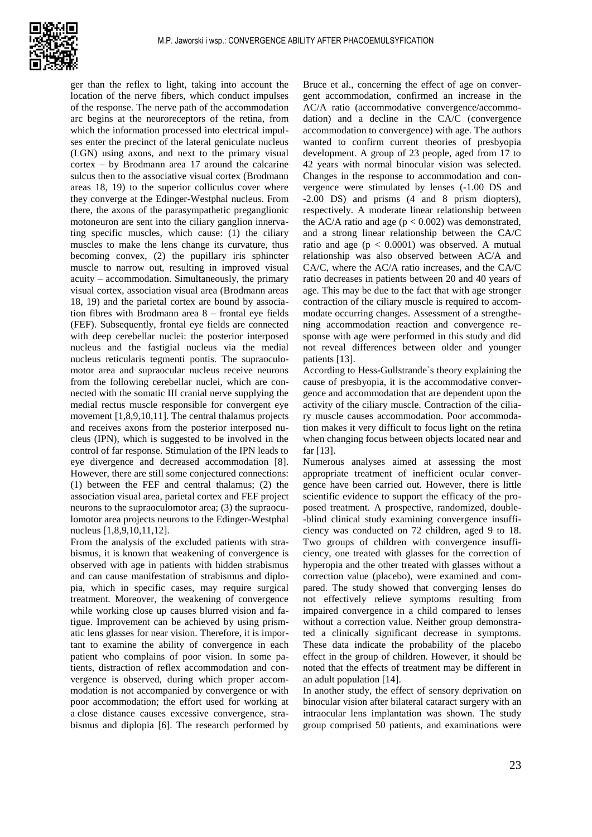

ger than the reflex to light, taking into account the location of the nerve fibers, which conduct impulses of the response. The nerve path of the accommodation arc begins at the neuroreceptors of the retina, from which the information processed into electrical impulses enter the precinct of the lateral geniculate nucleus (LGN) using axons, and next to the primary visual cortex – by Brodmann area 17 around the calcarine sulcus then to the associative visual cortex (Brodmann areas 18, 19) to the superior colliculus cover where they converge at the Edinger-Westphal nucleus. From there, the axons of the parasympathetic preganglionic motoneuron are sent into the ciliary ganglion innervating specific muscles, which cause: (1) the ciliary muscles to make the lens change its curvature, thus becoming convex, (2) the pupillary iris sphincter muscle to narrow out, resulting in improved visual acuity – accommodation. Simultaneously, the primary visual cortex, association visual area (Brodmann areas 18, 19) and the parietal cortex are bound by association fibres with Brodmann area 8 – frontal eye fields (FEF). Subsequently, frontal eye fields are connected with deep cerebellar nuclei: the posterior interposed nucleus and the fastigial nucleus via the medial nucleus reticularis tegmenti pontis. The supraoculomotor area and supraocular nucleus receive neurons from the following cerebellar nuclei, which are connected with the somatic III cranial nerve supplying the medial rectus muscle responsible for convergent eye movement [1,8,9,10,11]. The central thalamus projects and receives axons from the posterior interposed nucleus (IPN), which is suggested to be involved in the control of far response. Stimulation of the IPN leads to eye divergence and decreased accommodation [8]. However, there are still some conjectured connections: (1) between the FEF and central thalamus; (2) the association visual area, parietal cortex and FEF project neurons to the supraoculomotor area; (3) the supraoculomotor area projects neurons to the Edinger-Westphal nucleus [1,8,9,10,11,12].

From the analysis of the excluded patients with strabismus, it is known that weakening of convergence is observed with age in patients with hidden strabismus and can cause manifestation of strabismus and diplopia, which in specific cases, may require surgical treatment. Moreover, the weakening of convergence while working close up causes blurred vision and fatigue. Improvement can be achieved by using prismatic lens glasses for near vision. Therefore, it is important to examine the ability of convergence in each patient who complains of poor vision. In some patients, distraction of reflex accommodation and convergence is observed, during which proper accommodation is not accompanied by convergence or with poor accommodation; the effort used for working at a close distance causes excessive convergence, strabismus and diplopia [6]. The research performed by

Bruce et al., concerning the effect of age on convergent accommodation, confirmed an increase in the AC/A ratio (accommodative convergence/accommodation) and a decline in the CA/C (convergence accommodation to convergence) with age. The authors wanted to confirm current theories of presbyopia development. A group of 23 people, aged from 17 to 42 years with normal binocular vision was selected. Changes in the response to accommodation and convergence were stimulated by lenses (-1.00 DS and -2.00 DS) and prisms (4 and 8 prism diopters), respectively. A moderate linear relationship between the AC/A ratio and age  $(p < 0.002)$  was demonstrated, and a strong linear relationship between the CA/C ratio and age  $(p < 0.0001)$  was observed. A mutual relationship was also observed between AC/A and CA/C, where the AC/A ratio increases, and the CA/C ratio decreases in patients between 20 and 40 years of age. This may be due to the fact that with age stronger contraction of the ciliary muscle is required to accommodate occurring changes. Assessment of a strengthening accommodation reaction and convergence response with age were performed in this study and did not reveal differences between older and younger patients [13].

According to Hess-Gullstrande`s theory explaining the cause of presbyopia, it is the accommodative convergence and accommodation that are dependent upon the activity of the ciliary muscle. Contraction of the ciliary muscle causes accommodation. Poor accommodation makes it very difficult to focus light on the retina when changing focus between objects located near and far [13].

Numerous analyses aimed at assessing the most appropriate treatment of inefficient ocular convergence have been carried out. However, there is little scientific evidence to support the efficacy of the proposed treatment. A prospective, randomized, double- -blind clinical study examining convergence insufficiency was conducted on 72 children, aged 9 to 18. Two groups of children with convergence insufficiency, one treated with glasses for the correction of hyperopia and the other treated with glasses without a correction value (placebo), were examined and compared. The study showed that converging lenses do not effectively relieve symptoms resulting from impaired convergence in a child compared to lenses without a correction value. Neither group demonstrated a clinically significant decrease in symptoms. These data indicate the probability of the placebo effect in the group of children. However, it should be noted that the effects of treatment may be different in an adult population [14].

In another study, the effect of sensory deprivation on binocular vision after bilateral cataract surgery with an intraocular lens implantation was shown. The study group comprised 50 patients, and examinations were